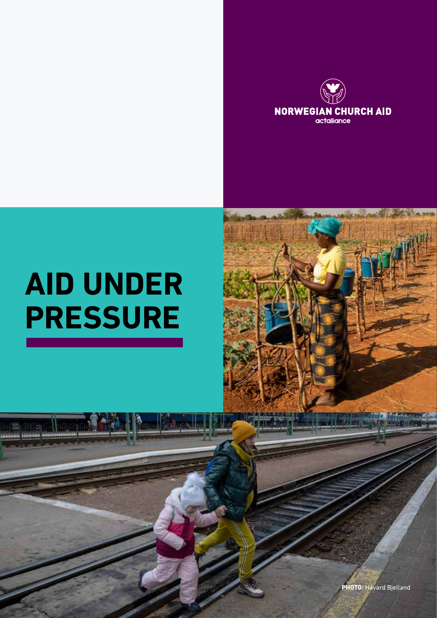

# **AID UNDER PRESSURE**

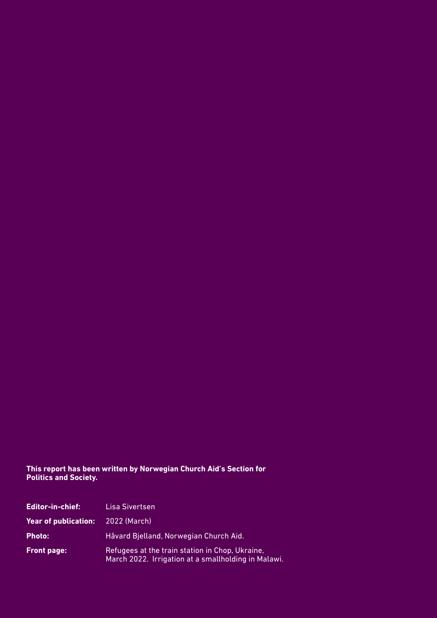#### **This report has been written by Norwegian Church Aid's Section for Politics and Society.**

| <b>Editor-in-chief:</b>     | Lisa Sivertsen                                                                                         |
|-----------------------------|--------------------------------------------------------------------------------------------------------|
| <b>Year of publication:</b> | 2022 (March)                                                                                           |
| <b>Photo:</b>               | Håvard Bjelland, Norwegian Church Aid.                                                                 |
| Front page:                 | Refugees at the train station in Chop, Ukraine,<br>March 2022. Irrigation at a smallholding in Malawi. |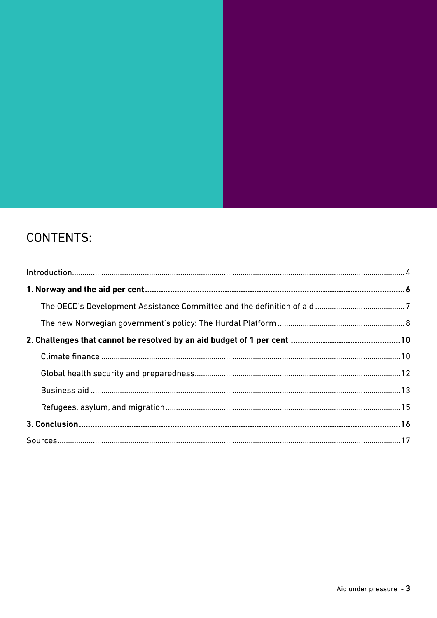## **CONTENTS:**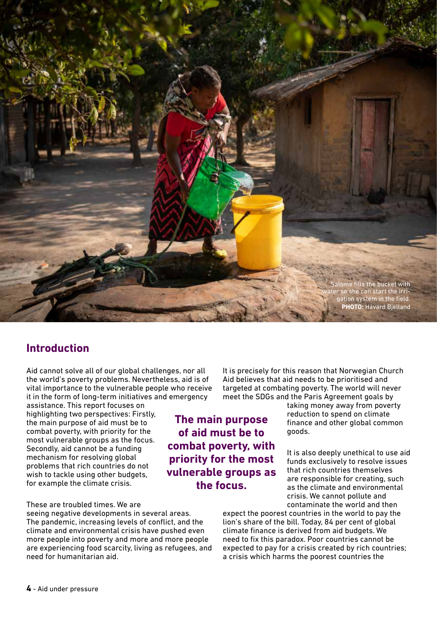

## **Introduction**

Aid cannot solve all of our global challenges, nor all the world's poverty problems. Nevertheless, aid is of vital importance to the vulnerable people who receive it in the form of long-term initiatives and emergency

assistance. This report focuses on highlighting two perspectives: Firstly, the main purpose of aid must be to combat poverty, with priority for the most vulnerable groups as the focus. Secondly, aid cannot be a funding mechanism for resolving global problems that rich countries do not wish to tackle using other budgets, for example the climate crisis.

#### These are troubled times. We are

seeing negative developments in several areas. The pandemic, increasing levels of conflict, and the climate and environmental crisis have pushed even more people into poverty and more and more people are experiencing food scarcity, living as refugees, and need for humanitarian aid.

It is precisely for this reason that Norwegian Church Aid believes that aid needs to be prioritised and targeted at combating poverty. The world will never meet the SDGs and the Paris Agreement goals by

taking money away from poverty reduction to spend on climate finance and other global common goods.

It is also deeply unethical to use aid funds exclusively to resolve issues that rich countries themselves are responsible for creating, such as the climate and environmental crisis. We cannot pollute and contaminate the world and then

expect the poorest countries in the world to pay the lion's share of the bill. Today, 84 per cent of global climate finance is derived from aid budgets. We need to fix this paradox. Poor countries cannot be expected to pay for a crisis created by rich countries; a crisis which harms the poorest countries the

**The main purpose of aid must be to combat poverty, with priority for the most vulnerable groups as the focus.**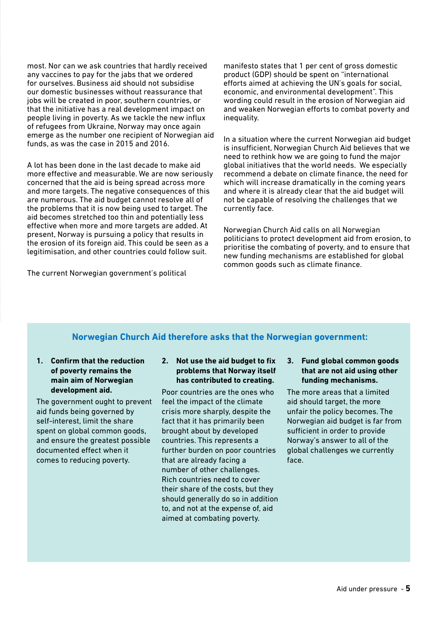most. Nor can we ask countries that hardly received any vaccines to pay for the jabs that we ordered for ourselves. Business aid should not subsidise our domestic businesses without reassurance that jobs will be created in poor, southern countries, or that the initiative has a real development impact on people living in poverty. As we tackle the new influx of refugees from Ukraine, Norway may once again emerge as the number one recipient of Norwegian aid funds, as was the case in 2015 and 2016.

A lot has been done in the last decade to make aid more effective and measurable. We are now seriously concerned that the aid is being spread across more and more targets. The negative consequences of this are numerous. The aid budget cannot resolve all of the problems that it is now being used to target. The aid becomes stretched too thin and potentially less effective when more and more targets are added. At present, Norway is pursuing a policy that results in the erosion of its foreign aid. This could be seen as a legitimisation, and other countries could follow suit.

The current Norwegian government's political

manifesto states that 1 per cent of gross domestic product (GDP) should be spent on "international efforts aimed at achieving the UN's goals for social, economic, and environmental development". This wording could result in the erosion of Norwegian aid and weaken Norwegian efforts to combat poverty and inequality.

In a situation where the current Norwegian aid budget is insufficient, Norwegian Church Aid believes that we need to rethink how we are going to fund the major global initiatives that the world needs. We especially recommend a debate on climate finance, the need for which will increase dramatically in the coming years and where it is already clear that the aid budget will not be capable of resolving the challenges that we currently face.

Norwegian Church Aid calls on all Norwegian politicians to protect development aid from erosion, to prioritise the combating of poverty, and to ensure that new funding mechanisms are established for global common goods such as climate finance.

### **Norwegian Church Aid therefore asks that the Norwegian government:**

**1. Confirm that the reduction of poverty remains the main aim of Norwegian development aid.** 

The government ought to prevent aid funds being governed by self-interest, limit the share spent on global common goods, and ensure the greatest possible documented effect when it comes to reducing poverty.

#### **2. Not use the aid budget to fix problems that Norway itself has contributed to creating.**

Poor countries are the ones who feel the impact of the climate crisis more sharply, despite the fact that it has primarily been brought about by developed countries. This represents a further burden on poor countries that are already facing a number of other challenges. Rich countries need to cover their share of the costs, but they should generally do so in addition to, and not at the expense of, aid aimed at combating poverty.

**3. Fund global common goods that are not aid using other funding mechanisms.**

The more areas that a limited aid should target, the more unfair the policy becomes. The Norwegian aid budget is far from sufficient in order to provide Norway's answer to all of the global challenges we currently face.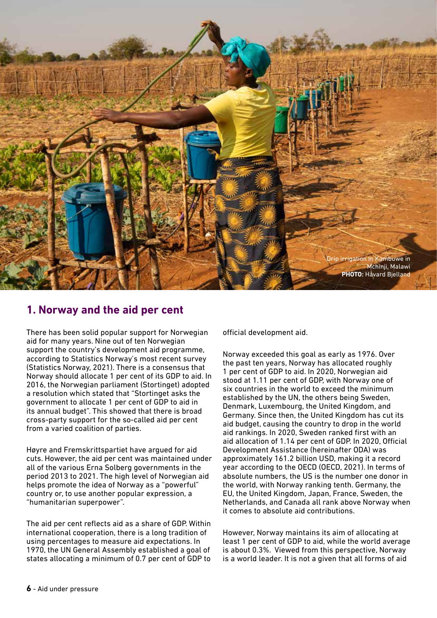

## **1. Norway and the aid per cent**

There has been solid popular support for Norwegian aid for many years. Nine out of ten Norwegian support the country's development aid programme, according to Statistics Norway's most recent survey (Statistics Norway, 2021). There is a consensus that Norway should allocate 1 per cent of its GDP to aid. In 2016, the Norwegian parliament (Stortinget) adopted a resolution which stated that "Stortinget asks the government to allocate 1 per cent of GDP to aid in its annual budget". This showed that there is broad cross-party support for the so-called aid per cent from a varied coalition of parties.

Høyre and Fremskrittspartiet have argued for aid cuts. However, the aid per cent was maintained under all of the various Erna Solberg governments in the period 2013 to 2021. The high level of Norwegian aid helps promote the idea of Norway as a "powerful" country or, to use another popular expression, a "humanitarian superpower".

The aid per cent reflects aid as a share of GDP. Within international cooperation, there is a long tradition of using percentages to measure aid expectations. In 1970, the UN General Assembly established a goal of states allocating a minimum of 0.7 per cent of GDP to

official development aid.

Norway exceeded this goal as early as 1976. Over the past ten years, Norway has allocated roughly 1 per cent of GDP to aid. In 2020, Norwegian aid stood at 1.11 per cent of GDP, with Norway one of six countries in the world to exceed the minimum established by the UN, the others being Sweden, Denmark, Luxembourg, the United Kingdom, and Germany. Since then, the United Kingdom has cut its aid budget, causing the country to drop in the world aid rankings. In 2020, Sweden ranked first with an aid allocation of 1.14 per cent of GDP. In 2020, Official Development Assistance (hereinafter ODA) was approximately 161.2 billion USD, making it a record year according to the OECD (OECD, 2021). In terms of absolute numbers, the US is the number one donor in the world, with Norway ranking tenth. Germany, the EU, the United Kingdom, Japan, France, Sweden, the Netherlands, and Canada all rank above Norway when it comes to absolute aid contributions.

However, Norway maintains its aim of allocating at least 1 per cent of GDP to aid, while the world average is about 0.3%. Viewed from this perspective, Norway is a world leader. It is not a given that all forms of aid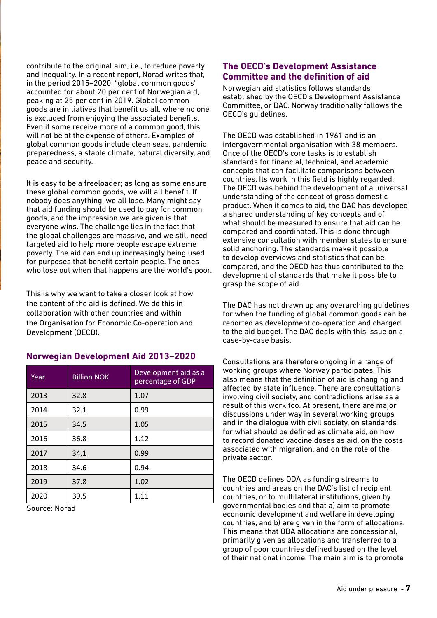contribute to the original aim, i.e., to reduce poverty and inequality. In a recent report, Norad writes that, in the period 2015–2020, "global common goods" accounted for about 20 per cent of Norwegian aid, peaking at 25 per cent in 2019. Global common goods are initiatives that benefit us all, where no one is excluded from enjoying the associated benefits. Even if some receive more of a common good, this will not be at the expense of others. Examples of global common goods include clean seas, pandemic preparedness, a stable climate, natural diversity, and peace and security.

It is easy to be a freeloader; as long as some ensure these global common goods, we will all benefit. If nobody does anything, we all lose. Many might say that aid funding should be used to pay for common goods, and the impression we are given is that everyone wins. The challenge lies in the fact that the global challenges are massive, and we still need targeted aid to help more people escape extreme poverty. The aid can end up increasingly being used for purposes that benefit certain people. The ones who lose out when that happens are the world's poor.

This is why we want to take a closer look at how the content of the aid is defined. We do this in collaboration with other countries and within the Organisation for Economic Co-operation and Development (OECD).

| Year | <b>Billion NOK</b> | Development aid as a<br>percentage of GDP |
|------|--------------------|-------------------------------------------|
| 2013 | 32.8               | 1.07                                      |
| 2014 | 32.1               | 0.99                                      |
| 2015 | 34.5               | 1.05                                      |
| 2016 | 36.8               | 1.12                                      |
| 2017 | 34,1               | 0.99                                      |
| 2018 | 34.6               | 0.94                                      |
| 2019 | 37.8               | 1.02                                      |
| 2020 | 39.5               | 1.11                                      |

#### **Norwegian Development Aid 2013**–**2020**

Source: Norad

#### **The OECD's Development Assistance Committee and the definition of aid**

Norwegian aid statistics follows standards established by the OECD's Development Assistance Committee, or DAC. Norway traditionally follows the OECD's guidelines.

The OECD was established in 1961 and is an intergovernmental organisation with 38 members. Once of the OECD's core tasks is to establish standards for financial, technical, and academic concepts that can facilitate comparisons between countries. Its work in this field is highly regarded. The OECD was behind the development of a universal understanding of the concept of gross domestic product. When it comes to aid, the DAC has developed a shared understanding of key concepts and of what should be measured to ensure that aid can be compared and coordinated. This is done through extensive consultation with member states to ensure solid anchoring. The standards make it possible to develop overviews and statistics that can be compared, and the OECD has thus contributed to the development of standards that make it possible to grasp the scope of aid.

The DAC has not drawn up any overarching guidelines for when the funding of global common goods can be reported as development co-operation and charged to the aid budget. The DAC deals with this issue on a case-by-case basis.

Consultations are therefore ongoing in a range of working groups where Norway participates. This also means that the definition of aid is changing and affected by state influence. There are consultations involving civil society, and contradictions arise as a result of this work too. At present, there are major discussions under way in several working groups and in the dialogue with civil society, on standards for what should be defined as climate aid, on how to record donated vaccine doses as aid, on the costs associated with migration, and on the role of the private sector.

The OECD defines ODA as funding streams to countries and areas on the DAC's list of recipient countries, or to multilateral institutions, given by governmental bodies and that a) aim to promote economic development and welfare in developing countries, and b) are given in the form of allocations. This means that ODA allocations are concessional, primarily given as allocations and transferred to a group of poor countries defined based on the level of their national income. The main aim is to promote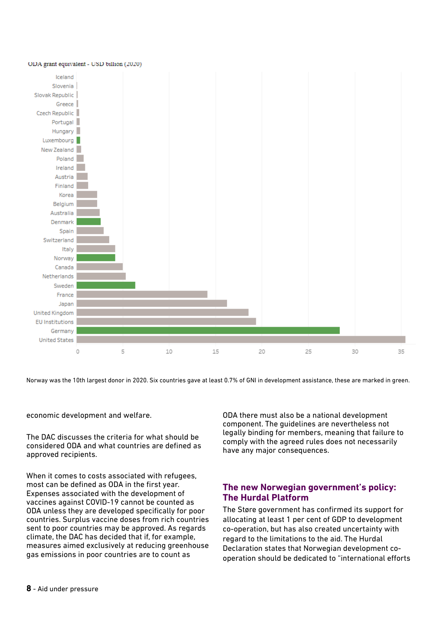

Norway was the 10th largest donor in 2020. Six countries gave at least 0.7% of GNI in development assistance, these are marked in green.

economic development and welfare.

The DAC discusses the criteria for what should be considered ODA and what countries are defined as approved recipients.

When it comes to costs associated with refugees, most can be defined as ODA in the first year. Expenses associated with the development of vaccines against COVID-19 cannot be counted as ODA unless they are developed specifically for poor countries. Surplus vaccine doses from rich countries sent to poor countries may be approved. As regards climate, the DAC has decided that if, for example, measures aimed exclusively at reducing greenhouse gas emissions in poor countries are to count as

ODA there must also be a national development component. The guidelines are nevertheless not legally binding for members, meaning that failure to comply with the agreed rules does not necessarily have any major consequences.

#### **The new Norwegian government's policy: The Hurdal Platform**

The Støre government has confirmed its support for allocating at least 1 per cent of GDP to development co-operation, but has also created uncertainty with regard to the limitations to the aid. The Hurdal Declaration states that Norwegian development cooperation should be dedicated to "international efforts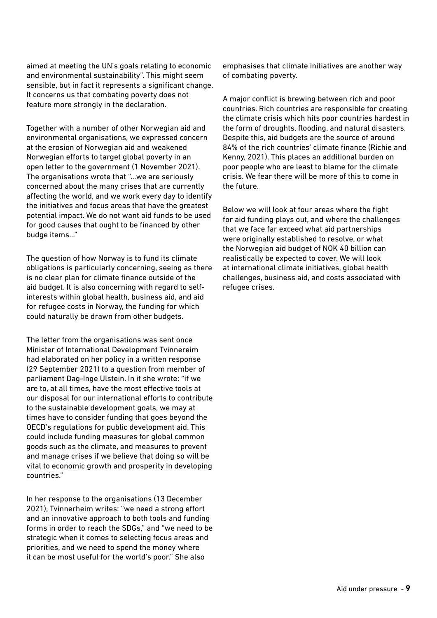aimed at meeting the UN's goals relating to economic and environmental sustainability". This might seem sensible, but in fact it represents a significant change. It concerns us that combating poverty does not feature more strongly in the declaration.

Together with a number of other Norwegian aid and environmental organisations, we expressed concern at the erosion of Norwegian aid and weakened Norwegian efforts to target global poverty in an open letter to the government (1 November 2021). The organisations wrote that "...we are seriously concerned about the many crises that are currently affecting the world, and we work every day to identify the initiatives and focus areas that have the greatest potential impact. We do not want aid funds to be used for good causes that ought to be financed by other budge items..."

The question of how Norway is to fund its climate obligations is particularly concerning, seeing as there is no clear plan for climate finance outside of the aid budget. It is also concerning with regard to selfinterests within global health, business aid, and aid for refugee costs in Norway, the funding for which could naturally be drawn from other budgets.

The letter from the organisations was sent once Minister of International Development Tvinnereim had elaborated on her policy in a written response (29 September 2021) to a question from member of parliament Dag-Inge Ulstein. In it she wrote: "if we are to, at all times, have the most effective tools at our disposal for our international efforts to contribute to the sustainable development goals, we may at times have to consider funding that goes beyond the OECD's regulations for public development aid. This could include funding measures for global common goods such as the climate, and measures to prevent and manage crises if we believe that doing so will be vital to economic growth and prosperity in developing countries."

In her response to the organisations (13 December 2021), Tvinnerheim writes: "we need a strong effort and an innovative approach to both tools and funding forms in order to reach the SDGs," and "we need to be strategic when it comes to selecting focus areas and priorities, and we need to spend the money where it can be most useful for the world's poor." She also

emphasises that climate initiatives are another way of combating poverty.

A major conflict is brewing between rich and poor countries. Rich countries are responsible for creating the climate crisis which hits poor countries hardest in the form of droughts, flooding, and natural disasters. Despite this, aid budgets are the source of around 84% of the rich countries' climate finance (Richie and Kenny, 2021). This places an additional burden on poor people who are least to blame for the climate crisis. We fear there will be more of this to come in the future.

Below we will look at four areas where the fight for aid funding plays out, and where the challenges that we face far exceed what aid partnerships were originally established to resolve, or what the Norwegian aid budget of NOK 40 billion can realistically be expected to cover. We will look at international climate initiatives, global health challenges, business aid, and costs associated with refugee crises.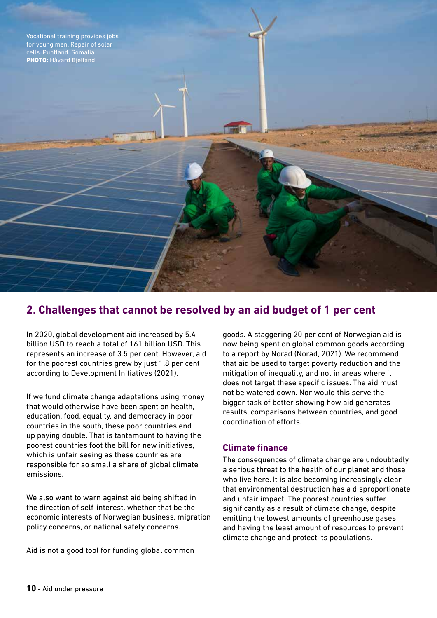

## **2. Challenges that cannot be resolved by an aid budget of 1 per cent**

In 2020, global development aid increased by 5.4 billion USD to reach a total of 161 billion USD. This represents an increase of 3.5 per cent. However, aid for the poorest countries grew by just 1.8 per cent according to Development Initiatives (2021).

If we fund climate change adaptations using money that would otherwise have been spent on health, education, food, equality, and democracy in poor countries in the south, these poor countries end up paying double. That is tantamount to having the poorest countries foot the bill for new initiatives, which is unfair seeing as these countries are responsible for so small a share of global climate emissions.

We also want to warn against aid being shifted in the direction of self-interest, whether that be the economic interests of Norwegian business, migration policy concerns, or national safety concerns.

Aid is not a good tool for funding global common

goods. A staggering 20 per cent of Norwegian aid is now being spent on global common goods according to a report by Norad (Norad, 2021). We recommend that aid be used to target poverty reduction and the mitigation of inequality, and not in areas where it does not target these specific issues. The aid must not be watered down. Nor would this serve the bigger task of better showing how aid generates results, comparisons between countries, and good coordination of efforts.

#### **Climate finance**

The consequences of climate change are undoubtedly a serious threat to the health of our planet and those who live here. It is also becoming increasingly clear that environmental destruction has a disproportionate and unfair impact. The poorest countries suffer significantly as a result of climate change, despite emitting the lowest amounts of greenhouse gases and having the least amount of resources to prevent climate change and protect its populations.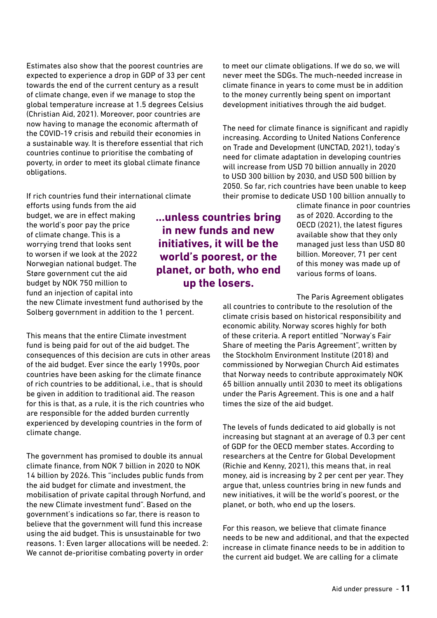Estimates also show that the poorest countries are expected to experience a drop in GDP of 33 per cent towards the end of the current century as a result of climate change, even if we manage to stop the global temperature increase at 1.5 degrees Celsius (Christian Aid, 2021). Moreover, poor countries are now having to manage the economic aftermath of the COVID-19 crisis and rebuild their economies in a sustainable way. It is therefore essential that rich countries continue to prioritise the combating of poverty, in order to meet its global climate finance obligations.

#### If rich countries fund their international climate

efforts using funds from the aid budget, we are in effect making the world's poor pay the price of climate change. This is a worrying trend that looks sent to worsen if we look at the 2022 Norwegian national budget. The Støre government cut the aid budget by NOK 750 million to fund an injection of capital into

the new Climate investment fund authorised by the Solberg government in addition to the 1 percent.

This means that the entire Climate investment fund is being paid for out of the aid budget. The consequences of this decision are cuts in other areas of the aid budget. Ever since the early 1990s, poor countries have been asking for the climate finance of rich countries to be additional, i.e., that is should be given in addition to traditional aid. The reason for this is that, as a rule, it is the rich countries who are responsible for the added burden currently experienced by developing countries in the form of climate change.

The government has promised to double its annual climate finance, from NOK 7 billion in 2020 to NOK 14 billion by 2026. This "includes public funds from the aid budget for climate and investment, the mobilisation of private capital through Norfund, and the new Climate investment fund". Based on the government's indications so far, there is reason to believe that the government will fund this increase using the aid budget. This is unsustainable for two reasons. 1: Even larger allocations will be needed. 2: We cannot de-prioritise combating poverty in order

**...unless countries bring in new funds and new initiatives, it will be the world's poorest, or the planet, or both, who end up the losers.** 

to meet our climate obligations. If we do so, we will never meet the SDGs. The much-needed increase in climate finance in years to come must be in addition to the money currently being spent on important development initiatives through the aid budget.

The need for climate finance is significant and rapidly increasing. According to United Nations Conference on Trade and Development (UNCTAD, 2021), today's need for climate adaptation in developing countries will increase from USD 70 billion annually in 2020 to USD 300 billion by 2030, and USD 500 billion by 2050. So far, rich countries have been unable to keep their promise to dedicate USD 100 billion annually to

> climate finance in poor countries as of 2020. According to the OECD (2021), the latest figures available show that they only managed just less than USD 80 billion. Moreover, 71 per cent of this money was made up of various forms of loans.

The Paris Agreement obligates

all countries to contribute to the resolution of the climate crisis based on historical responsibility and economic ability. Norway scores highly for both of these criteria. A report entitled "Norway's Fair Share of meeting the Paris Agreement", written by the Stockholm Environment Institute (2018) and commissioned by Norwegian Church Aid estimates that Norway needs to contribute approximately NOK 65 billion annually until 2030 to meet its obligations under the Paris Agreement. This is one and a half times the size of the aid budget.

The levels of funds dedicated to aid globally is not increasing but stagnant at an average of 0.3 per cent of GDP for the OECD member states. According to researchers at the Centre for Global Development (Richie and Kenny, 2021), this means that, in real money, aid is increasing by 2 per cent per year. They argue that, unless countries bring in new funds and new initiatives, it will be the world's poorest, or the planet, or both, who end up the losers.

For this reason, we believe that climate finance needs to be new and additional, and that the expected increase in climate finance needs to be in addition to the current aid budget. We are calling for a climate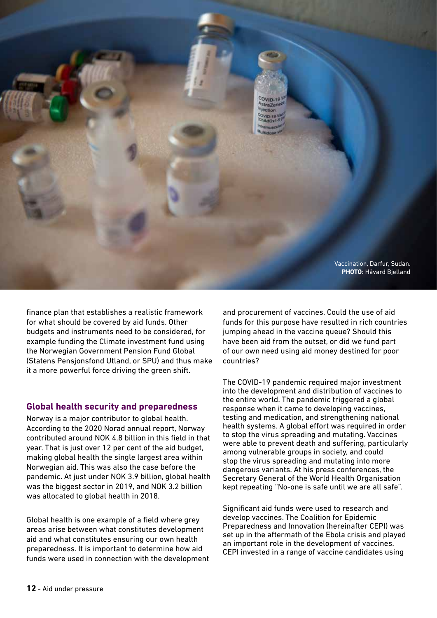

finance plan that establishes a realistic framework for what should be covered by aid funds. Other budgets and instruments need to be considered, for example funding the Climate investment fund using the Norwegian Government Pension Fund Global (Statens Pensjonsfond Utland, or SPU) and thus make it a more powerful force driving the green shift.

#### **Global health security and preparedness**

Norway is a major contributor to global health. According to the 2020 Norad annual report, Norway contributed around NOK 4.8 billion in this field in that year. That is just over 12 per cent of the aid budget, making global health the single largest area within Norwegian aid. This was also the case before the pandemic. At just under NOK 3.9 billion, global health was the biggest sector in 2019, and NOK 3.2 billion was allocated to global health in 2018.

Global health is one example of a field where grey areas arise between what constitutes development aid and what constitutes ensuring our own health preparedness. It is important to determine how aid funds were used in connection with the development

and procurement of vaccines. Could the use of aid funds for this purpose have resulted in rich countries jumping ahead in the vaccine queue? Should this have been aid from the outset, or did we fund part of our own need using aid money destined for poor countries?

The COVID-19 pandemic required major investment into the development and distribution of vaccines to the entire world. The pandemic triggered a global response when it came to developing vaccines, testing and medication, and strengthening national health systems. A global effort was required in order to stop the virus spreading and mutating. Vaccines were able to prevent death and suffering, particularly among vulnerable groups in society, and could stop the virus spreading and mutating into more dangerous variants. At his press conferences, the Secretary General of the World Health Organisation kept repeating "No-one is safe until we are all safe".

Significant aid funds were used to research and develop vaccines. The Coalition for Epidemic Preparedness and Innovation (hereinafter CEPI) was set up in the aftermath of the Ebola crisis and played an important role in the development of vaccines. CEPI invested in a range of vaccine candidates using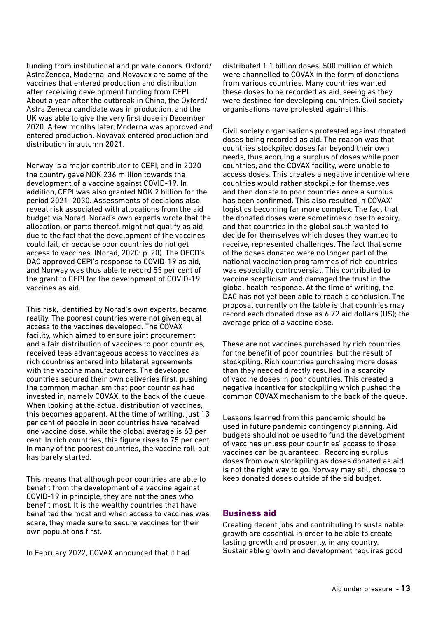funding from institutional and private donors. Oxford/ AstraZeneca, Moderna, and Novavax are some of the vaccines that entered production and distribution after receiving development funding from CEPI. About a year after the outbreak in China, the Oxford/ Astra Zeneca candidate was in production, and the UK was able to give the very first dose in December 2020. A few months later, Moderna was approved and entered production. Novavax entered production and distribution in autumn 2021.

Norway is a major contributor to CEPI, and in 2020 the country gave NOK 236 million towards the development of a vaccine against COVID-19. In addition, CEPI was also granted NOK 2 billion for the period 2021–2030. Assessments of decisions also reveal risk associated with allocations from the aid budget via Norad. Norad's own experts wrote that the allocation, or parts thereof, might not qualify as aid due to the fact that the development of the vaccines could fail, or because poor countries do not get access to vaccines. (Norad, 2020: p. 20). The OECD's DAC approved CEPI's response to COVID-19 as aid, and Norway was thus able to record 53 per cent of the grant to CEPI for the development of COVID-19 vaccines as aid.

This risk, identified by Norad's own experts, became reality. The poorest countries were not given equal access to the vaccines developed. The COVAX facility, which aimed to ensure joint procurement and a fair distribution of vaccines to poor countries, received less advantageous access to vaccines as rich countries entered into bilateral agreements with the vaccine manufacturers. The developed countries secured their own deliveries first, pushing the common mechanism that poor countries had invested in, namely COVAX, to the back of the queue. When looking at the actual distribution of vaccines, this becomes apparent. At the time of writing, just 13 per cent of people in poor countries have received one vaccine dose, while the global average is 63 per cent. In rich countries, this figure rises to 75 per cent. In many of the poorest countries, the vaccine roll-out has barely started.

This means that although poor countries are able to benefit from the development of a vaccine against COVID-19 in principle, they are not the ones who benefit most. It is the wealthy countries that have benefited the most and when access to vaccines was scare, they made sure to secure vaccines for their own populations first.

In February 2022, COVAX announced that it had

distributed 1.1 billion doses, 500 million of which were channelled to COVAX in the form of donations from various countries. Many countries wanted these doses to be recorded as aid, seeing as they were destined for developing countries. Civil society organisations have protested against this.

Civil society organisations protested against donated doses being recorded as aid. The reason was that countries stockpiled doses far beyond their own needs, thus accruing a surplus of doses while poor countries, and the COVAX facility, were unable to access doses. This creates a negative incentive where countries would rather stockpile for themselves and then donate to poor countries once a surplus has been confirmed. This also resulted in COVAX' logistics becoming far more complex. The fact that the donated doses were sometimes close to expiry, and that countries in the global south wanted to decide for themselves which doses they wanted to receive, represented challenges. The fact that some of the doses donated were no longer part of the national vaccination programmes of rich countries was especially controversial. This contributed to vaccine scepticism and damaged the trust in the global health response. At the time of writing, the DAC has not yet been able to reach a conclusion. The proposal currently on the table is that countries may record each donated dose as 6.72 aid dollars (US); the average price of a vaccine dose.

These are not vaccines purchased by rich countries for the benefit of poor countries, but the result of stockpiling. Rich countries purchasing more doses than they needed directly resulted in a scarcity of vaccine doses in poor countries. This created a negative incentive for stockpiling which pushed the common COVAX mechanism to the back of the queue.

Lessons learned from this pandemic should be used in future pandemic contingency planning. Aid budgets should not be used to fund the development of vaccines unless pour countries' access to those vaccines can be guaranteed. Recording surplus doses from own stockpiling as doses donated as aid is not the right way to go. Norway may still choose to keep donated doses outside of the aid budget.

#### **Business aid**

Creating decent jobs and contributing to sustainable growth are essential in order to be able to create lasting growth and prosperity, in any country. Sustainable growth and development requires good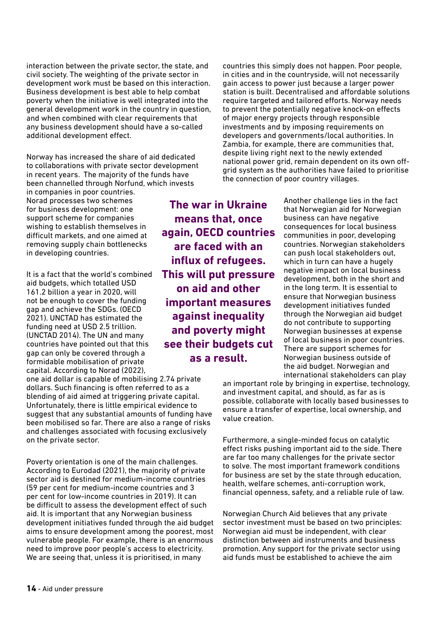interaction between the private sector, the state, and civil society. The weighting of the private sector in development work must be based on this interaction. Business development is best able to help combat poverty when the initiative is well integrated into the general development work in the country in question, and when combined with clear requirements that any business development should have a so-called additional development effect.

Norway has increased the share of aid dedicated to collaborations with private sector development in recent years. The majority of the funds have been channelled through Norfund, which invests

in companies in poor countries. Norad processes two schemes for business development: one support scheme for companies wishing to establish themselves in difficult markets, and one aimed at removing supply chain bottlenecks in developing countries.

It is a fact that the world's combined aid budgets, which totalled USD 161.2 billion a year in 2020, will not be enough to cover the funding gap and achieve the SDGs. (OECD 2021). UNCTAD has estimated the funding need at USD 2.5 trillion. (UNCTAD 2014). The UN and many countries have pointed out that this gap can only be covered through a formidable mobilisation of private capital. According to Norad (2022),

one aid dollar is capable of mobilising 2.74 private dollars. Such financing is often referred to as a blending of aid aimed at triggering private capital. Unfortunately, there is little empirical evidence to suggest that any substantial amounts of funding have been mobilised so far. There are also a range of risks and challenges associated with focusing exclusively on the private sector.

Poverty orientation is one of the main challenges. According to Eurodad (2021), the majority of private sector aid is destined for medium-income countries (59 per cent for medium-income countries and 3 per cent for low-income countries in 2019). It can be difficult to assess the development effect of such aid. It is important that any Norwegian business development initiatives funded through the aid budget aims to ensure development among the poorest, most vulnerable people. For example, there is an enormous need to improve poor people's access to electricity. We are seeing that, unless it is prioritised, in many

**The war in Ukraine means that, once again, OECD countries are faced with an influx of refugees. This will put pressure on aid and other important measures against inequality and poverty might see their budgets cut as a result.** 

countries this simply does not happen. Poor people, in cities and in the countryside, will not necessarily gain access to power just because a larger power station is built. Decentralised and affordable solutions require targeted and tailored efforts. Norway needs to prevent the potentially negative knock-on effects of major energy projects through responsible investments and by imposing requirements on developers and governments/local authorities. In Zambia, for example, there are communities that, despite living right next to the newly extended national power grid, remain dependent on its own offgrid system as the authorities have failed to prioritise the connection of poor country villages.

> Another challenge lies in the fact that Norwegian aid for Norwegian business can have negative consequences for local business communities in poor, developing countries. Norwegian stakeholders can push local stakeholders out, which in turn can have a hugely negative impact on local business development, both in the short and in the long term. It is essential to ensure that Norwegian business development initiatives funded through the Norwegian aid budget do not contribute to supporting Norwegian businesses at expense of local business in poor countries. There are support schemes for Norwegian business outside of the aid budget. Norwegian and international stakeholders can play

an important role by bringing in expertise, technology, and investment capital, and should, as far as is possible, collaborate with locally based businesses to ensure a transfer of expertise, local ownership, and value creation.

Furthermore, a single-minded focus on catalytic effect risks pushing important aid to the side. There are far too many challenges for the private sector to solve. The most important framework conditions for business are set by the state through education, health, welfare schemes, anti-corruption work, financial openness, safety, and a reliable rule of law.

Norwegian Church Aid believes that any private sector investment must be based on two principles: Norwegian aid must be independent, with clear distinction between aid instruments and business promotion. Any support for the private sector using aid funds must be established to achieve the aim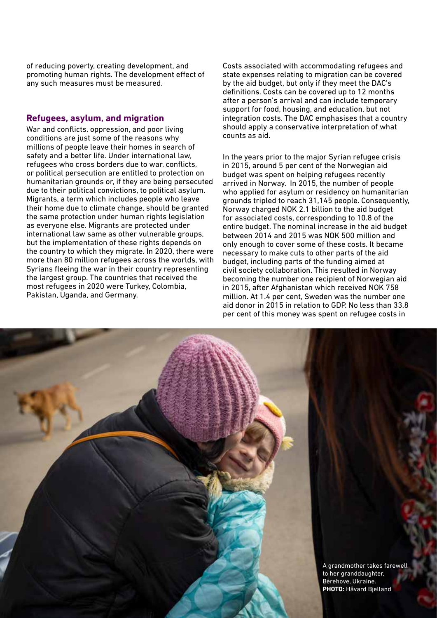of reducing poverty, creating development, and promoting human rights. The development effect of any such measures must be measured.

#### **Refugees, asylum, and migration**

War and conflicts, oppression, and poor living conditions are just some of the reasons why millions of people leave their homes in search of safety and a better life. Under international law, refugees who cross borders due to war, conflicts, or political persecution are entitled to protection on humanitarian grounds or, if they are being persecuted due to their political convictions, to political asylum. Migrants, a term which includes people who leave their home due to climate change, should be granted the same protection under human rights legislation as everyone else. Migrants are protected under international law same as other vulnerable groups, but the implementation of these rights depends on the country to which they migrate. In 2020, there were more than 80 million refugees across the worlds, with Syrians fleeing the war in their country representing the largest group. The countries that received the most refugees in 2020 were Turkey, Colombia, Pakistan, Uganda, and Germany.

Costs associated with accommodating refugees and state expenses relating to migration can be covered by the aid budget, but only if they meet the DAC's definitions. Costs can be covered up to 12 months after a person's arrival and can include temporary support for food, housing, and education, but not integration costs. The DAC emphasises that a country should apply a conservative interpretation of what counts as aid.

In the years prior to the major Syrian refugee crisis in 2015, around 5 per cent of the Norwegian aid budget was spent on helping refugees recently arrived in Norway. In 2015, the number of people who applied for asylum or residency on humanitarian grounds tripled to reach 31,145 people. Consequently, Norway charged NOK 2.1 billion to the aid budget for associated costs, corresponding to 10.8 of the entire budget. The nominal increase in the aid budget between 2014 and 2015 was NOK 500 million and only enough to cover some of these costs. It became necessary to make cuts to other parts of the aid budget, including parts of the funding aimed at civil society collaboration. This resulted in Norway becoming the number one recipient of Norwegian aid in 2015, after Afghanistan which received NOK 758 million. At 1.4 per cent, Sweden was the number one aid donor in 2015 in relation to GDP. No less than 33.8 per cent of this money was spent on refugee costs in

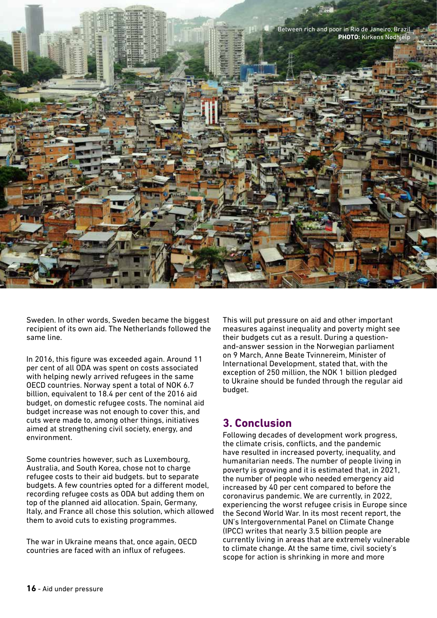

Sweden. In other words, Sweden became the biggest recipient of its own aid. The Netherlands followed the same line.

In 2016, this figure was exceeded again. Around 11 per cent of all ODA was spent on costs associated with helping newly arrived refugees in the same OECD countries. Norway spent a total of NOK 6.7 billion, equivalent to 18.4 per cent of the 2016 aid budget, on domestic refugee costs. The nominal aid budget increase was not enough to cover this, and cuts were made to, among other things, initiatives aimed at strengthening civil society, energy, and environment.

Some countries however, such as Luxembourg, Australia, and South Korea, chose not to charge refugee costs to their aid budgets. but to separate budgets. A few countries opted for a different model, recording refugee costs as ODA but adding them on top of the planned aid allocation. Spain, Germany, Italy, and France all chose this solution, which allowed them to avoid cuts to existing programmes.

The war in Ukraine means that, once again, OECD countries are faced with an influx of refugees.

This will put pressure on aid and other important measures against inequality and poverty might see their budgets cut as a result. During a questionand-answer session in the Norwegian parliament on 9 March, Anne Beate Tvinnereim, Minister of International Development, stated that, with the exception of 250 million, the NOK 1 billion pledged to Ukraine should be funded through the regular aid budget.

## **3. Conclusion**

Following decades of development work progress, the climate crisis, conflicts, and the pandemic have resulted in increased poverty, inequality, and humanitarian needs. The number of people living in poverty is growing and it is estimated that, in 2021, the number of people who needed emergency aid increased by 40 per cent compared to before the coronavirus pandemic. We are currently, in 2022, experiencing the worst refugee crisis in Europe since the Second World War. In its most recent report, the UN's Intergovernmental Panel on Climate Change (IPCC) writes that nearly 3.5 billion people are currently living in areas that are extremely vulnerable to climate change. At the same time, civil society's scope for action is shrinking in more and more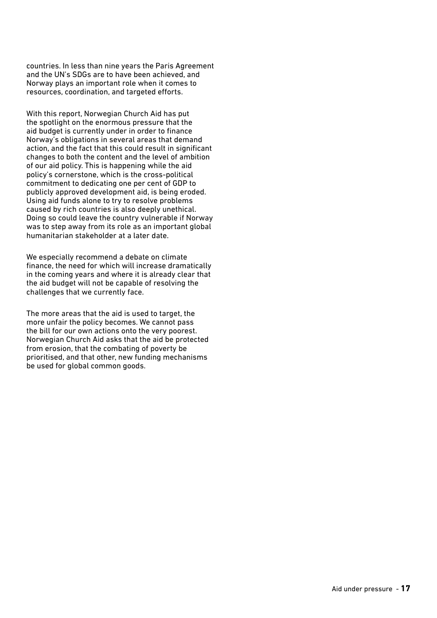countries. In less than nine years the Paris Agreement and the UN's SDGs are to have been achieved, and Norway plays an important role when it comes to resources, coordination, and targeted efforts.

With this report, Norwegian Church Aid has put the spotlight on the enormous pressure that the aid budget is currently under in order to finance Norway's obligations in several areas that demand action, and the fact that this could result in significant changes to both the content and the level of ambition of our aid policy. This is happening while the aid policy's cornerstone, which is the cross-political commitment to dedicating one per cent of GDP to publicly approved development aid, is being eroded. Using aid funds alone to try to resolve problems caused by rich countries is also deeply unethical. Doing so could leave the country vulnerable if Norway was to step away from its role as an important global humanitarian stakeholder at a later date.

We especially recommend a debate on climate finance, the need for which will increase dramatically in the coming years and where it is already clear that the aid budget will not be capable of resolving the challenges that we currently face.

The more areas that the aid is used to target, the more unfair the policy becomes. We cannot pass the bill for our own actions onto the very poorest. Norwegian Church Aid asks that the aid be protected from erosion, that the combating of poverty be prioritised, and that other, new funding mechanisms be used for global common goods.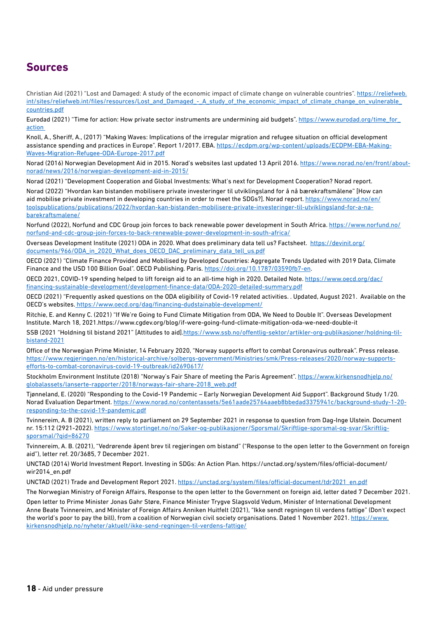## **Sources**

Christian Aid (2021) "Lost and Damaged: A study of the economic impact of climate change on vulnerable countries". https://reliefweb. int/sites/reliefweb.int/files/resources/Lost\_and\_Damaged\_-\_A\_study\_of\_the\_economic\_impact\_of\_climate\_change\_on\_vulnerable countries.pdf

Eurodad (2021) "Time for action: How private sector instruments are undermining aid budgets". https://www.eurodad.org/time\_for\_ action

Knoll, A., Sheriff, A., (2017) "Making Waves: Implications of the irregular migration and refugee situation on official development assistance spending and practices in Europe". Report 1/2017. EBA. https://ecdpm.org/wp-content/uploads/ECDPM-EBA-Making-Waves-Migration-Refugee-ODA-Europe-2017.pdf

Norad (2016) Norwegian Development Aid in 2015. Norad's websites last updated 13 April 2016. https://www.norad.no/en/front/aboutnorad/news/2016/norwegian-development-aid-in-2015/

Norad (2021) "Development Cooperation and Global Investments: What's next for Development Cooperation? Norad report.

Norad (2022) "Hvordan kan bistanden mobilisere private investeringer til utviklingsland for å nå bærekraftsmålene" [How can aid mobilise private investment in developing countries in order to meet the SDGs?]. Norad report. https://www.norad.no/en/ toolspublications/publications/2022/hvordan-kan-bistanden-mobilisere-private-investeringer-til-utviklingsland-for-a-nabarekraftsmalene/

Norfund (2022), Norfund and CDC Group join forces to back renewable power development in South Africa. https://www.norfund.no/ norfund-and-cdc-group-join-forces-to-back-renewable-power-development-in-south-africa/

Overseas Development Institute (2021) ODA in 2020. What does preliminary data tell us? Factsheet. https://devinit.org/ documents/966/ODA\_in\_2020\_What\_does\_OECD\_DAC\_preliminary\_data\_tell\_us.pdf

OECD (2021) "Climate Finance Provided and Mobilised by Developed Countries: Aggregate Trends Updated with 2019 Data, Climate Finance and the USD 100 Billion Goal". OECD Publishing. Paris. https://doi.org/10.1787/03590fb7-en.

OECD 2021, COVID-19 spending helped to lift foreign aid to an all-time high in 2020. Detailed Note. https://www.oecd.org/dac/ financing-sustainable-development/development-finance-data/ODA-2020-detailed-summary.pdf

OECD (2021) "Frequently asked questions on the ODA eligibility of Covid-19 related activities. . Updated, August 2021. Available on the OECD's websites. https://www.oecd.org/dag/financing-dudstainable-development/

Ritchie, E. and Kenny C. (2021) "If We're Going to Fund Climate Mitigation from ODA, We Need to Double It". Overseas Development Institute. March 18, 2021.https://www.cgdev.org/blog/if-were-going-fund-climate-mitigation-oda-we-need-double-it

SSB (2021 "Holdning til bistand 2021" [Attitudes to aid].https://www.ssb.no/offentlig-sektor/artikler-org-publikasjoner/holdning-tilbistand-2021

Office of the Norwegian Prime Minister, 14 February 2020, "Norway supports effort to combat Coronavirus outbreak". Press release. https://www.regjeringen.no/en/historical-archive/solbergs-government/Ministries/smk/Press-releases/2020/norway-supportsefforts-to-combat-coronavirus-covid-19-outbreak/id2690617/

Stockholm Environment Institute (2018) "Norway's Fair Share of meeting the Paris Agreement". https://www.kirkensnodhjelp.no/ globalassets/lanserte-rapporter/2018/norways-fair-share-2018\_web.pdf

Tjønneland, E. (2020) "Responding to the Covid-19 Pandemic – Early Norwegian Development Aid Support". Background Study 1/20. Norad Evaluation Department. https://www.norad.no/contentassets/5e61aade25764aaeb8bbedad3375941c/background-study-1-20 responding-to-the-covid-19-pandemic.pdf

Tvinnereim, A. B (2021), written reply to parliament on 29 September 2021 in response to question from Dag-Inge Ulstein. Document nr. 15:112 (2921-2022). https://www.stortinget.no/no/Saker-og-publikasjoner/Sporsmal/Skriftlige-sporsmal-og-svar/Skriftligsporsmal/?qid=86270

Tvinnereim, A. B. (2021), "Vedrørende åpent brev til regjeringen om bistand" ("Response to the open letter to the Government on foreign aid"), letter ref. 20/3685, 7 December 2021.

UNCTAD (2014) World Investment Report. Investing in SDGs: An Action Plan. https://unctad.org/system/files/official-document/ wir2014\_en.pdf

UNCTAD (2021) Trade and Development Report 2021. https://unctad.org/system/files/official-document/tdr2021\_en.pdf

The Norwegian Ministry of Foreign Affairs, Response to the open letter to the Government on foreign aid, letter dated 7 December 2021.

Open letter to Prime Minister Jonas Gahr Støre, Finance Minister Trygve Slagsvold Vedum, Minister of International Development Anne Beate Tvinnereim, and Minister of Foreign Affairs Anniken Huitfelt (2021), "Ikke sendt regningen til verdens fattige" (Don't expect the world's poor to pay the bill), from a coalition of Norwegian civil society organisations. Dated 1 November 2021. https://www. kirkensnodhjelp.no/nyheter/aktuelt/ikke-send-regningen-til-verdens-fattige/